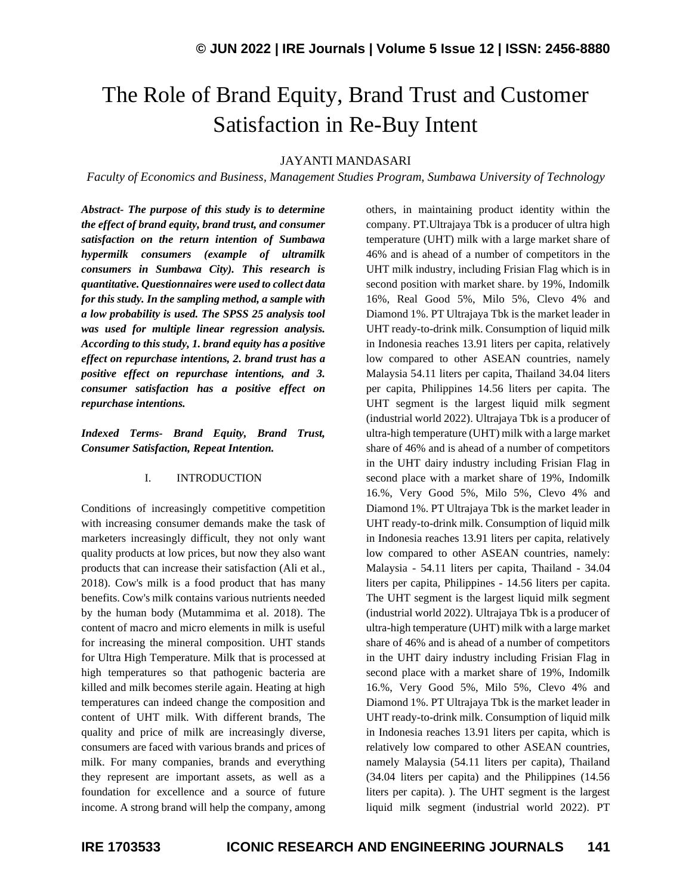# The Role of Brand Equity, Brand Trust and Customer Satisfaction in Re-Buy Intent

#### JAYANTI MANDASARI

*Faculty of Economics and Business, Management Studies Program, Sumbawa University of Technology*

*Abstract- The purpose of this study is to determine the effect of brand equity, brand trust, and consumer satisfaction on the return intention of Sumbawa hypermilk consumers (example of ultramilk consumers in Sumbawa City). This research is quantitative. Questionnaires were used to collect data for this study. In the sampling method, a sample with a low probability is used. The SPSS 25 analysis tool was used for multiple linear regression analysis. According to this study, 1. brand equity has a positive effect on repurchase intentions, 2. brand trust has a positive effect on repurchase intentions, and 3. consumer satisfaction has a positive effect on repurchase intentions.*

*Indexed Terms- Brand Equity, Brand Trust, Consumer Satisfaction, Repeat Intention.*

#### I. INTRODUCTION

Conditions of increasingly competitive competition with increasing consumer demands make the task of marketers increasingly difficult, they not only want quality products at low prices, but now they also want products that can increase their satisfaction (Ali et al., 2018). Cow's milk is a food product that has many benefits. Cow's milk contains various nutrients needed by the human body (Mutammima et al. 2018). The content of macro and micro elements in milk is useful for increasing the mineral composition. UHT stands for Ultra High Temperature. Milk that is processed at high temperatures so that pathogenic bacteria are killed and milk becomes sterile again. Heating at high temperatures can indeed change the composition and content of UHT milk. With different brands, The quality and price of milk are increasingly diverse, consumers are faced with various brands and prices of milk. For many companies, brands and everything they represent are important assets, as well as a foundation for excellence and a source of future income. A strong brand will help the company, among others, in maintaining product identity within the company. PT.Ultrajaya Tbk is a producer of ultra high temperature (UHT) milk with a large market share of 46% and is ahead of a number of competitors in the UHT milk industry, including Frisian Flag which is in second position with market share. by 19%, Indomilk 16%, Real Good 5%, Milo 5%, Clevo 4% and Diamond 1%. PT Ultrajaya Tbk is the market leader in UHT ready-to-drink milk. Consumption of liquid milk in Indonesia reaches 13.91 liters per capita, relatively low compared to other ASEAN countries, namely Malaysia 54.11 liters per capita, Thailand 34.04 liters per capita, Philippines 14.56 liters per capita. The UHT segment is the largest liquid milk segment (industrial world 2022). Ultrajaya Tbk is a producer of ultra-high temperature (UHT) milk with a large market share of 46% and is ahead of a number of competitors in the UHT dairy industry including Frisian Flag in second place with a market share of 19%, Indomilk 16.%, Very Good 5%, Milo 5%, Clevo 4% and Diamond 1%. PT Ultrajaya Tbk is the market leader in UHT ready-to-drink milk. Consumption of liquid milk in Indonesia reaches 13.91 liters per capita, relatively low compared to other ASEAN countries, namely: Malaysia - 54.11 liters per capita, Thailand - 34.04 liters per capita, Philippines - 14.56 liters per capita. The UHT segment is the largest liquid milk segment (industrial world 2022). Ultrajaya Tbk is a producer of ultra-high temperature (UHT) milk with a large market share of 46% and is ahead of a number of competitors in the UHT dairy industry including Frisian Flag in second place with a market share of 19%, Indomilk 16.%, Very Good 5%, Milo 5%, Clevo 4% and Diamond 1%. PT Ultrajaya Tbk is the market leader in UHT ready-to-drink milk. Consumption of liquid milk in Indonesia reaches 13.91 liters per capita, which is relatively low compared to other ASEAN countries, namely Malaysia (54.11 liters per capita), Thailand (34.04 liters per capita) and the Philippines (14.56 liters per capita). ). The UHT segment is the largest liquid milk segment (industrial world 2022). PT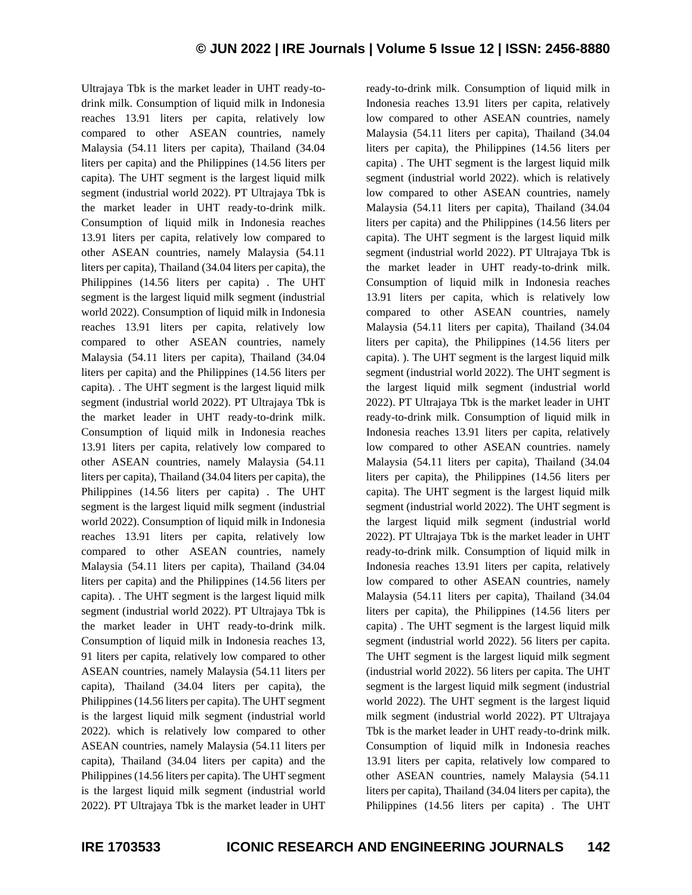Ultrajaya Tbk is the market leader in UHT ready-todrink milk. Consumption of liquid milk in Indonesia reaches 13.91 liters per capita, relatively low compared to other ASEAN countries, namely Malaysia (54.11 liters per capita), Thailand (34.04 liters per capita) and the Philippines (14.56 liters per capita). The UHT segment is the largest liquid milk segment (industrial world 2022). PT Ultrajaya Tbk is the market leader in UHT ready-to-drink milk. Consumption of liquid milk in Indonesia reaches 13.91 liters per capita, relatively low compared to other ASEAN countries, namely Malaysia (54.11 liters per capita), Thailand (34.04 liters per capita), the Philippines (14.56 liters per capita) . The UHT segment is the largest liquid milk segment (industrial world 2022). Consumption of liquid milk in Indonesia reaches 13.91 liters per capita, relatively low compared to other ASEAN countries, namely Malaysia (54.11 liters per capita), Thailand (34.04 liters per capita) and the Philippines (14.56 liters per capita). . The UHT segment is the largest liquid milk segment (industrial world 2022). PT Ultrajaya Tbk is the market leader in UHT ready-to-drink milk. Consumption of liquid milk in Indonesia reaches 13.91 liters per capita, relatively low compared to other ASEAN countries, namely Malaysia (54.11 liters per capita), Thailand (34.04 liters per capita), the Philippines (14.56 liters per capita) . The UHT segment is the largest liquid milk segment (industrial world 2022). Consumption of liquid milk in Indonesia reaches 13.91 liters per capita, relatively low compared to other ASEAN countries, namely Malaysia (54.11 liters per capita), Thailand (34.04 liters per capita) and the Philippines (14.56 liters per capita). . The UHT segment is the largest liquid milk segment (industrial world 2022). PT Ultrajaya Tbk is the market leader in UHT ready-to-drink milk. Consumption of liquid milk in Indonesia reaches 13, 91 liters per capita, relatively low compared to other ASEAN countries, namely Malaysia (54.11 liters per capita), Thailand (34.04 liters per capita), the Philippines (14.56 liters per capita). The UHT segment is the largest liquid milk segment (industrial world 2022). which is relatively low compared to other ASEAN countries, namely Malaysia (54.11 liters per capita), Thailand (34.04 liters per capita) and the Philippines (14.56 liters per capita). The UHT segment is the largest liquid milk segment (industrial world 2022). PT Ultrajaya Tbk is the market leader in UHT

ready-to-drink milk. Consumption of liquid milk in Indonesia reaches 13.91 liters per capita, relatively low compared to other ASEAN countries, namely Malaysia (54.11 liters per capita), Thailand (34.04 liters per capita), the Philippines (14.56 liters per capita) . The UHT segment is the largest liquid milk segment (industrial world 2022). which is relatively low compared to other ASEAN countries, namely Malaysia (54.11 liters per capita), Thailand (34.04 liters per capita) and the Philippines (14.56 liters per capita). The UHT segment is the largest liquid milk segment (industrial world 2022). PT Ultrajaya Tbk is the market leader in UHT ready-to-drink milk. Consumption of liquid milk in Indonesia reaches 13.91 liters per capita, which is relatively low compared to other ASEAN countries, namely Malaysia (54.11 liters per capita), Thailand (34.04 liters per capita), the Philippines (14.56 liters per capita). ). The UHT segment is the largest liquid milk segment (industrial world 2022). The UHT segment is the largest liquid milk segment (industrial world 2022). PT Ultrajaya Tbk is the market leader in UHT ready-to-drink milk. Consumption of liquid milk in Indonesia reaches 13.91 liters per capita, relatively low compared to other ASEAN countries. namely Malaysia (54.11 liters per capita), Thailand (34.04 liters per capita), the Philippines (14.56 liters per capita). The UHT segment is the largest liquid milk segment (industrial world 2022). The UHT segment is the largest liquid milk segment (industrial world 2022). PT Ultrajaya Tbk is the market leader in UHT ready-to-drink milk. Consumption of liquid milk in Indonesia reaches 13.91 liters per capita, relatively low compared to other ASEAN countries, namely Malaysia (54.11 liters per capita), Thailand (34.04 liters per capita), the Philippines (14.56 liters per capita) . The UHT segment is the largest liquid milk segment (industrial world 2022). 56 liters per capita. The UHT segment is the largest liquid milk segment (industrial world 2022). 56 liters per capita. The UHT segment is the largest liquid milk segment (industrial world 2022). The UHT segment is the largest liquid milk segment (industrial world 2022). PT Ultrajaya Tbk is the market leader in UHT ready-to-drink milk. Consumption of liquid milk in Indonesia reaches 13.91 liters per capita, relatively low compared to other ASEAN countries, namely Malaysia (54.11 liters per capita), Thailand (34.04 liters per capita), the Philippines (14.56 liters per capita) . The UHT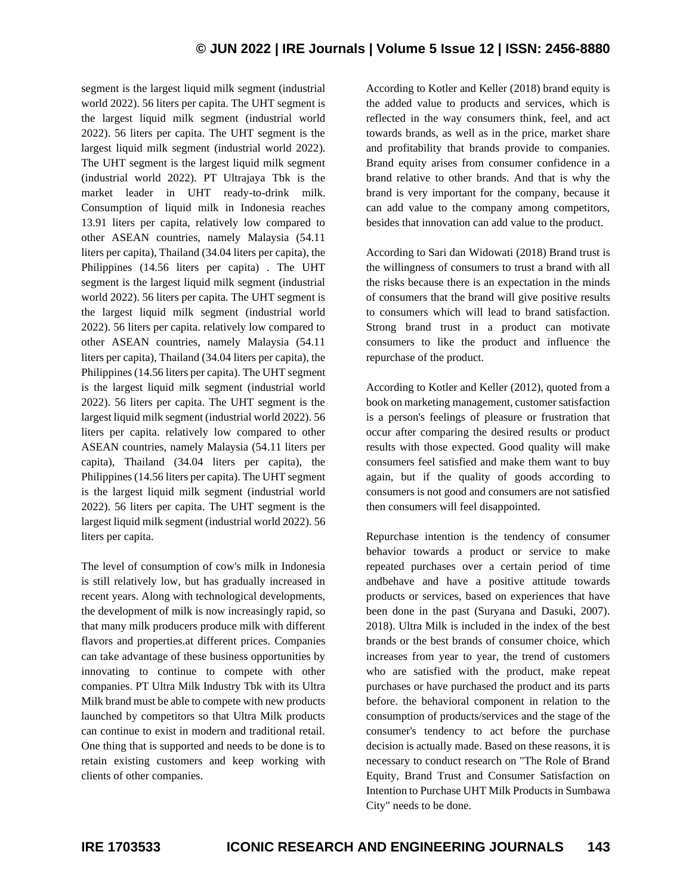## **© JUN 2022 | IRE Journals | Volume 5 Issue 12 | ISSN: 2456-8880**

segment is the largest liquid milk segment (industrial world 2022). 56 liters per capita. The UHT segment is the largest liquid milk segment (industrial world 2022). 56 liters per capita. The UHT segment is the largest liquid milk segment (industrial world 2022). The UHT segment is the largest liquid milk segment (industrial world 2022). PT Ultrajaya Tbk is the market leader in UHT ready-to-drink milk. Consumption of liquid milk in Indonesia reaches 13.91 liters per capita, relatively low compared to other ASEAN countries, namely Malaysia (54.11 liters per capita), Thailand (34.04 liters per capita), the Philippines (14.56 liters per capita) . The UHT segment is the largest liquid milk segment (industrial world 2022). 56 liters per capita. The UHT segment is the largest liquid milk segment (industrial world 2022). 56 liters per capita. relatively low compared to other ASEAN countries, namely Malaysia (54.11 liters per capita), Thailand (34.04 liters per capita), the Philippines (14.56 liters per capita). The UHT segment is the largest liquid milk segment (industrial world 2022). 56 liters per capita. The UHT segment is the largest liquid milk segment (industrial world 2022). 56 liters per capita. relatively low compared to other ASEAN countries, namely Malaysia (54.11 liters per capita), Thailand (34.04 liters per capita), the Philippines (14.56 liters per capita). The UHT segment is the largest liquid milk segment (industrial world 2022). 56 liters per capita. The UHT segment is the largest liquid milk segment (industrial world 2022). 56 liters per capita.

The level of consumption of cow's milk in Indonesia is still relatively low, but has gradually increased in recent years. Along with technological developments, the development of milk is now increasingly rapid, so that many milk producers produce milk with different flavors and properties.at different prices. Companies can take advantage of these business opportunities by innovating to continue to compete with other companies. PT Ultra Milk Industry Tbk with its Ultra Milk brand must be able to compete with new products launched by competitors so that Ultra Milk products can continue to exist in modern and traditional retail. One thing that is supported and needs to be done is to retain existing customers and keep working with clients of other companies.

According to Kotler and Keller (2018) brand equity is the added value to products and services, which is reflected in the way consumers think, feel, and act towards brands, as well as in the price, market share and profitability that brands provide to companies. Brand equity arises from consumer confidence in a brand relative to other brands. And that is why the brand is very important for the company, because it can add value to the company among competitors, besides that innovation can add value to the product.

According to Sari dan Widowati (2018) Brand trust is the willingness of consumers to trust a brand with all the risks because there is an expectation in the minds of consumers that the brand will give positive results to consumers which will lead to brand satisfaction. Strong brand trust in a product can motivate consumers to like the product and influence the repurchase of the product.

According to Kotler and Keller (2012), quoted from a book on marketing management, customer satisfaction is a person's feelings of pleasure or frustration that occur after comparing the desired results or product results with those expected. Good quality will make consumers feel satisfied and make them want to buy again, but if the quality of goods according to consumers is not good and consumers are not satisfied then consumers will feel disappointed.

Repurchase intention is the tendency of consumer behavior towards a product or service to make repeated purchases over a certain period of time andbehave and have a positive attitude towards products or services, based on experiences that have been done in the past (Suryana and Dasuki, 2007). 2018). Ultra Milk is included in the index of the best brands or the best brands of consumer choice, which increases from year to year, the trend of customers who are satisfied with the product, make repeat purchases or have purchased the product and its parts before. the behavioral component in relation to the consumption of products/services and the stage of the consumer's tendency to act before the purchase decision is actually made. Based on these reasons, it is necessary to conduct research on "The Role of Brand Equity, Brand Trust and Consumer Satisfaction on Intention to Purchase UHT Milk Products in Sumbawa City" needs to be done.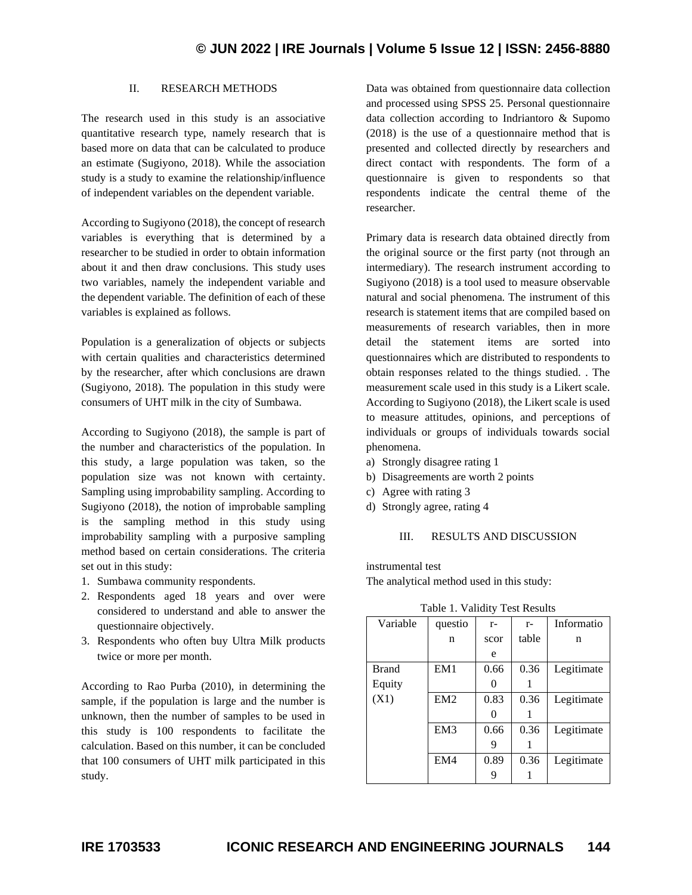#### II. RESEARCH METHODS

The research used in this study is an associative quantitative research type, namely research that is based more on data that can be calculated to produce an estimate (Sugiyono, 2018). While the association study is a study to examine the relationship/influence of independent variables on the dependent variable.

According to Sugiyono (2018), the concept of research variables is everything that is determined by a researcher to be studied in order to obtain information about it and then draw conclusions. This study uses two variables, namely the independent variable and the dependent variable. The definition of each of these variables is explained as follows.

Population is a generalization of objects or subjects with certain qualities and characteristics determined by the researcher, after which conclusions are drawn (Sugiyono, 2018). The population in this study were consumers of UHT milk in the city of Sumbawa.

According to Sugiyono (2018), the sample is part of the number and characteristics of the population. In this study, a large population was taken, so the population size was not known with certainty. Sampling using improbability sampling. According to Sugiyono (2018), the notion of improbable sampling is the sampling method in this study using improbability sampling with a purposive sampling method based on certain considerations. The criteria set out in this study:

- 1. Sumbawa community respondents.
- 2. Respondents aged 18 years and over were considered to understand and able to answer the questionnaire objectively.
- 3. Respondents who often buy Ultra Milk products twice or more per month.

According to Rao Purba (2010), in determining the sample, if the population is large and the number is unknown, then the number of samples to be used in this study is 100 respondents to facilitate the calculation. Based on this number, it can be concluded that 100 consumers of UHT milk participated in this study.

Data was obtained from questionnaire data collection and processed using SPSS 25. Personal questionnaire data collection according to Indriantoro & Supomo (2018) is the use of a questionnaire method that is presented and collected directly by researchers and direct contact with respondents. The form of a questionnaire is given to respondents so that respondents indicate the central theme of the researcher.

Primary data is research data obtained directly from the original source or the first party (not through an intermediary). The research instrument according to Sugiyono (2018) is a tool used to measure observable natural and social phenomena. The instrument of this research is statement items that are compiled based on measurements of research variables, then in more detail the statement items are sorted into questionnaires which are distributed to respondents to obtain responses related to the things studied. . The measurement scale used in this study is a Likert scale. According to Sugiyono (2018), the Likert scale is used to measure attitudes, opinions, and perceptions of individuals or groups of individuals towards social phenomena.

- a) Strongly disagree rating 1
- b) Disagreements are worth 2 points
- c) Agree with rating 3
- d) Strongly agree, rating 4

#### III. RESULTS AND DISCUSSION

instrumental test

The analytical method used in this study:

| Variable     | questio         | $r-$ | $r-$  | Informatio |
|--------------|-----------------|------|-------|------------|
|              | n               | scor | table | n          |
|              |                 | e    |       |            |
| <b>Brand</b> | EM1             | 0.66 | 0.36  | Legitimate |
| Equity       |                 |      |       |            |
| (X1)         | EM2             | 0.83 | 0.36  | Legitimate |
|              |                 |      |       |            |
|              | EM <sub>3</sub> | 0.66 | 0.36  | Legitimate |
|              |                 | 9    |       |            |
|              | EM4             | 0.89 | 0.36  | Legitimate |
|              |                 |      |       |            |

Table 1. Validity Test Results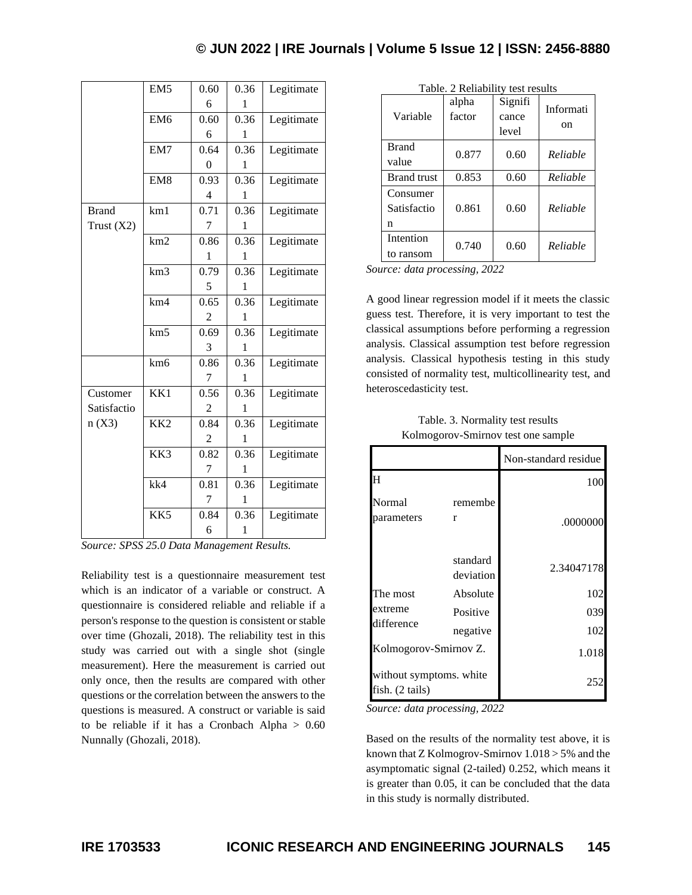|              | EM5             | 0.60           | 0.36 | Legitimate |
|--------------|-----------------|----------------|------|------------|
|              |                 | 6              | 1    |            |
|              | EM <sub>6</sub> | 0.60           | 0.36 | Legitimate |
|              |                 | 6              | L    |            |
|              | EM7             | 0.64           | 0.36 | Legitimate |
|              |                 | $\overline{0}$ | 1    |            |
|              | EM <sub>8</sub> | 0.93           | 0.36 | Legitimate |
|              |                 | 4              | 1    |            |
| <b>Brand</b> | km1             | 0.71           | 0.36 | Legitimate |
| Trust $(X2)$ |                 | 7              | 1    |            |
|              | km2             | 0.86           | 0.36 | Legitimate |
|              |                 | 1              | 1    |            |
|              | km3             | 0.79           | 0.36 | Legitimate |
|              |                 | 5              | 1    |            |
|              | km4             | 0.65           | 0.36 | Legitimate |
|              |                 | 2              | 1    |            |
|              | km <sub>5</sub> | 0.69           | 0.36 | Legitimate |
|              |                 | 3              | 1    |            |
|              | km <sub>6</sub> | 0.86           | 0.36 | Legitimate |
|              |                 | 7              | 1    |            |
| Customer     | KK1             | 0.56           | 0.36 | Legitimate |
| Satisfactio  |                 | 2              | 1    |            |
| n(X3)        | KK <sub>2</sub> | 0.84           | 0.36 | Legitimate |
|              |                 | 2              | 1    |            |
|              | KK3             | 0.82           | 0.36 | Legitimate |
|              |                 | 7              | 1    |            |
|              | kk4             | 0.81           | 0.36 | Legitimate |
|              |                 | 7              | 1    |            |
|              | KK5             | 0.84           | 0.36 | Legitimate |
|              |                 | 6              | 1    |            |
|              |                 |                |      |            |

*Source: SPSS 25.0 Data Management Results.*

Reliability test is a questionnaire measurement test which is an indicator of a variable or construct. A questionnaire is considered reliable and reliable if a person's response to the question is consistent or stable over time (Ghozali, 2018). The reliability test in this study was carried out with a single shot (single measurement). Here the measurement is carried out only once, then the results are compared with other questions or the correlation between the answers to the questions is measured. A construct or variable is said to be reliable if it has a Cronbach Alpha  $> 0.60$ Nunnally (Ghozali, 2018).

|                    | alpha  | Signifi | Informati |  |  |  |  |
|--------------------|--------|---------|-----------|--|--|--|--|
| Variable           | factor | cance   | on        |  |  |  |  |
|                    |        | level   |           |  |  |  |  |
| <b>Brand</b>       | 0.877  | 0.60    | Reliable  |  |  |  |  |
| value              |        |         |           |  |  |  |  |
| <b>Brand</b> trust | 0.853  | 0.60    | Reliable  |  |  |  |  |
| Consumer           |        |         |           |  |  |  |  |
| Satisfactio        | 0.861  | 0.60    | Reliable  |  |  |  |  |
| n                  |        |         |           |  |  |  |  |
| Intention          | 0.740  | 0.60    | Reliable  |  |  |  |  |
| to ransom          |        |         |           |  |  |  |  |

Table. 2 Reliability test results

*Source: data processing, 2022*

A good linear regression model if it meets the classic guess test. Therefore, it is very important to test the classical assumptions before performing a regression analysis. Classical assumption test before regression analysis. Classical hypothesis testing in this study consisted of normality test, multicollinearity test, and heteroscedasticity test.

| Table. 3. Normality test results   |  |
|------------------------------------|--|
| Kolmogorov-Smirnov test one sample |  |

|                                                      |                       | Non-standard residue |
|------------------------------------------------------|-----------------------|----------------------|
| H                                                    |                       | 100                  |
| Normal<br>parameters                                 | remembe<br>r          | .0000000             |
|                                                      | standard<br>deviation | 2.34047178           |
| The most                                             | Absolute              | 102                  |
| extreme                                              | Positive              | 039                  |
| difference                                           | negative              | 102                  |
| Kolmogorov-Smirnov Z.                                |                       | 1.018                |
| without symptoms. white<br>fish. $(2 \text{ tails})$ |                       | 252                  |

*Source: data processing, 2022*

Based on the results of the normality test above, it is known that Z Kolmogrov-Smirnov  $1.018 > 5\%$  and the asymptomatic signal (2-tailed) 0.252, which means it is greater than 0.05, it can be concluded that the data in this study is normally distributed.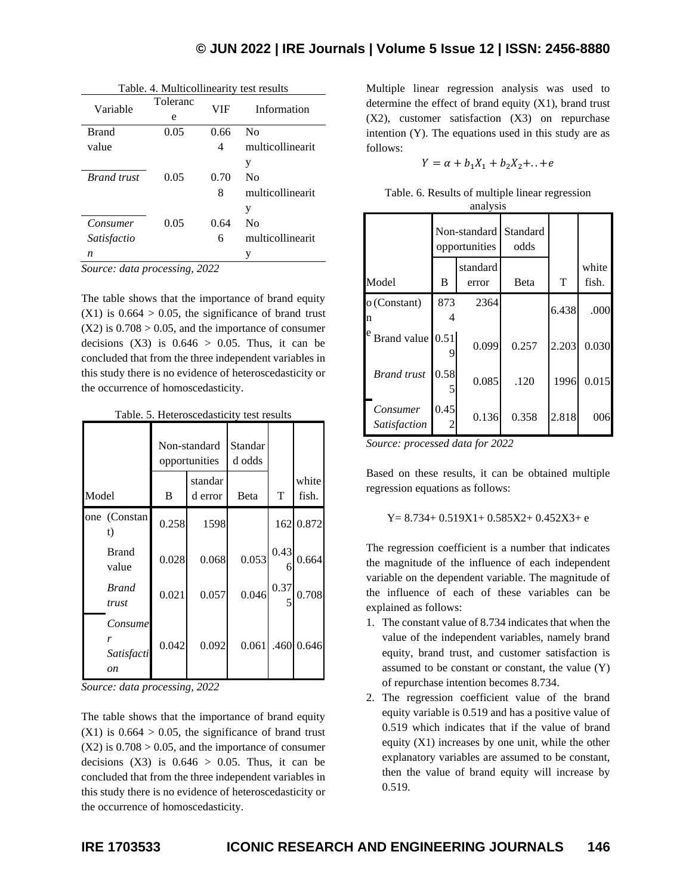| I able. 4. Multicollinearity test results |               |            |                  |  |  |  |
|-------------------------------------------|---------------|------------|------------------|--|--|--|
| Variable                                  | Toleranc<br>e | <b>VIF</b> | Information      |  |  |  |
| <b>Brand</b>                              | 0.05          | 0.66       | $\rm No$         |  |  |  |
| value                                     |               | 4          | multicollinearit |  |  |  |
|                                           |               |            | y                |  |  |  |
| <b>Brand</b> trust                        | 0.05          | 0.70       | $\rm No$         |  |  |  |
|                                           |               | 8          | multicollinearit |  |  |  |
|                                           |               |            | y                |  |  |  |
| Consumer                                  | 0.05          | 0.64       | $\rm No$         |  |  |  |
| Satisfactio                               |               | 6          | multicollinearit |  |  |  |
| n                                         |               |            | y                |  |  |  |

 $T = 1.1 + 4.36 + 1.1 + 1.1$ 

*Source: data processing, 2022*

The table shows that the importance of brand equity  $(X1)$  is  $0.664 > 0.05$ , the significance of brand trust  $(X2)$  is  $0.708 > 0.05$ , and the importance of consumer decisions  $(X3)$  is  $0.646 > 0.05$ . Thus, it can be concluded that from the three independent variables in this study there is no evidence of heteroscedasticity or the occurrence of homoscedasticity.

|  | Table. 5. Heteroscedasticity test results |  |
|--|-------------------------------------------|--|
|--|-------------------------------------------|--|

| ao io: 5:110 de l'obecaustiche,<br><b>CODE TODATED</b> |                                  |                               |       |                   |      |                |
|--------------------------------------------------------|----------------------------------|-------------------------------|-------|-------------------|------|----------------|
|                                                        |                                  | Non-standard<br>opportunities |       | Standar<br>d odds |      |                |
| Model                                                  |                                  | standar<br>B<br>d error       |       | Beta              | T    | white<br>fish. |
|                                                        | one (Constan<br>t)               | 0.258                         | 1598  |                   |      | 162 0.872      |
|                                                        | <b>Brand</b><br>value            | 0.028                         | 0.068 | 0.053             | 0.43 | 0.664          |
|                                                        | <b>Brand</b><br>trust            | 0.021                         | 0.057 | 0.046             | 0.37 | 0.708          |
|                                                        | Consume<br>r<br>Satisfacti<br>on | 0.042                         | 0.092 | 0.061             | .460 | 0.646          |

*Source: data processing, 2022*

The table shows that the importance of brand equity  $(X1)$  is  $0.664 > 0.05$ , the significance of brand trust  $(X2)$  is  $0.708 > 0.05$ , and the importance of consumer decisions  $(X3)$  is  $0.646 > 0.05$ . Thus, it can be concluded that from the three independent variables in this study there is no evidence of heteroscedasticity or the occurrence of homoscedasticity.

Multiple linear regression analysis was used to determine the effect of brand equity  $(X1)$ , brand trust (X2), customer satisfaction (X3) on repurchase intention (Y). The equations used in this study are as follows:

$$
Y = \alpha + b_1 X_1 + b_2 X_2 + \ldots + e
$$

|  |  | Table. 6. Results of multiple linear regression |  |  |
|--|--|-------------------------------------------------|--|--|
|  |  | analysis                                        |  |  |

|                          | Non-standard<br>opportunities |                   | Standard<br>odds |       |                |
|--------------------------|-------------------------------|-------------------|------------------|-------|----------------|
| Model                    | B                             | standard<br>error | Beta             | T     | white<br>fish. |
| o (Constant)<br>n        | 873                           | 2364              |                  | 6.438 | .000           |
| Brand value              | 0.51                          | 0.099             | 0.257            | 2.203 | 0.030          |
| <b>Brand</b> trust       | 0.58                          | 0.085             | .120             | 1996  | 0.015          |
| Consumer<br>Satisfaction | 0.45<br>$\mathfrak{D}$        | 0.136             | 0.358            | 2.818 | 006            |

*Source: processed data for 2022*

Based on these results, it can be obtained multiple regression equations as follows:

 $Y= 8.734+ 0.519X1+ 0.585X2+ 0.452X3+ e$ 

The regression coefficient is a number that indicates the magnitude of the influence of each independent variable on the dependent variable. The magnitude of the influence of each of these variables can be explained as follows:

- 1. The constant value of 8.734 indicates that when the value of the independent variables, namely brand equity, brand trust, and customer satisfaction is assumed to be constant or constant, the value (Y) of repurchase intention becomes 8.734.
- 2. The regression coefficient value of the brand equity variable is 0.519 and has a positive value of 0.519 which indicates that if the value of brand equity  $(X1)$  increases by one unit, while the other explanatory variables are assumed to be constant, then the value of brand equity will increase by 0.519.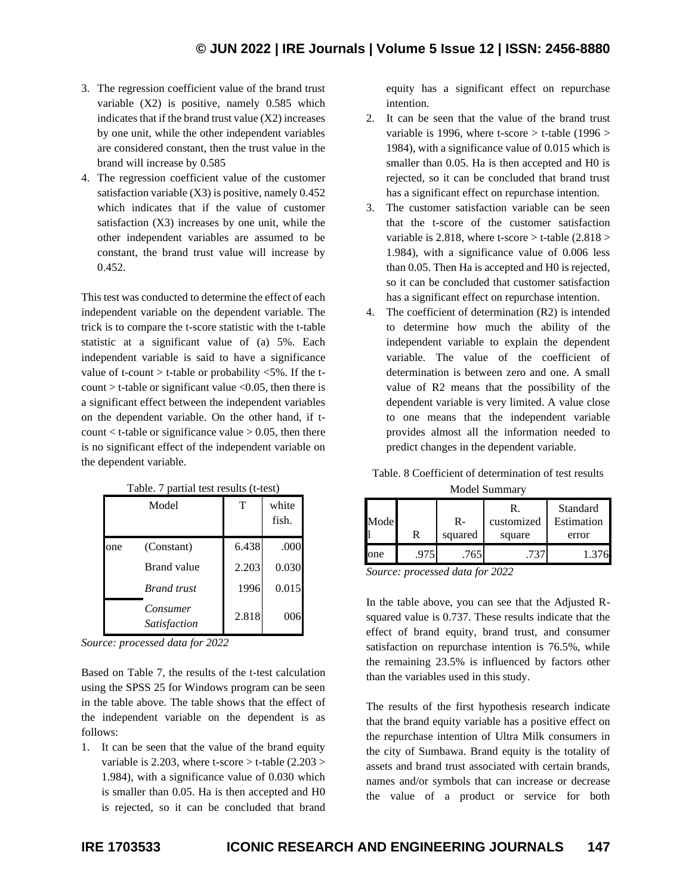- 3. The regression coefficient value of the brand trust variable (X2) is positive, namely 0.585 which indicates that if the brand trust value (X2) increases by one unit, while the other independent variables are considered constant, then the trust value in the brand will increase by 0.585
- 4. The regression coefficient value of the customer satisfaction variable (X3) is positive, namely 0.452 which indicates that if the value of customer satisfaction (X3) increases by one unit, while the other independent variables are assumed to be constant, the brand trust value will increase by 0.452.

This test was conducted to determine the effect of each independent variable on the dependent variable. The trick is to compare the t-score statistic with the t-table statistic at a significant value of (a) 5%. Each independent variable is said to have a significance value of t-count  $>$  t-table or probability  $\langle 5\%$ . If the tcount  $>$  t-table or significant value  $<$  0.05, then there is a significant effect between the independent variables on the dependent variable. On the other hand, if tcount  $\lt$  t-table or significance value  $> 0.05$ , then there is no significant effect of the independent variable on the dependent variable.

|     | Model                           | T     | white<br>fish. |
|-----|---------------------------------|-------|----------------|
| one | (Constant)                      | 6.438 | .000           |
|     | Brand value                     | 2.203 | 0.030          |
|     | <b>Brand</b> trust              | 1996  | 0.015          |
|     | Consumer<br><i>Satisfaction</i> | 2.818 | 006            |

Table. 7 partial test results (t-test)

*Source: processed data for 2022*

Based on Table 7, the results of the t-test calculation using the SPSS 25 for Windows program can be seen in the table above. The table shows that the effect of the independent variable on the dependent is as follows:

1. It can be seen that the value of the brand equity variable is 2.203, where t-score  $>$  t-table (2.203  $>$ 1.984), with a significance value of 0.030 which is smaller than 0.05. Ha is then accepted and H0 is rejected, so it can be concluded that brand equity has a significant effect on repurchase intention.

- 2. It can be seen that the value of the brand trust variable is 1996, where t-score  $>$  t-table (1996  $>$ 1984), with a significance value of 0.015 which is smaller than 0.05. Ha is then accepted and H0 is rejected, so it can be concluded that brand trust has a significant effect on repurchase intention.
- 3. The customer satisfaction variable can be seen that the t-score of the customer satisfaction variable is 2.818, where t-score  $>$  t-table (2.818  $>$ 1.984), with a significance value of 0.006 less than 0.05. Then Ha is accepted and H0 is rejected, so it can be concluded that customer satisfaction has a significant effect on repurchase intention.
- 4. The coefficient of determination (R2) is intended to determine how much the ability of the independent variable to explain the dependent variable. The value of the coefficient of determination is between zero and one. A small value of R2 means that the possibility of the dependent variable is very limited. A value close to one means that the independent variable provides almost all the information needed to predict changes in the dependent variable.

|  |  |  |  | Table. 8 Coefficient of determination of test results |  |  |  |  |
|--|--|--|--|-------------------------------------------------------|--|--|--|--|
|--|--|--|--|-------------------------------------------------------|--|--|--|--|

| Model Summary |      |         |                  |                        |  |  |  |  |  |  |
|---------------|------|---------|------------------|------------------------|--|--|--|--|--|--|
| Mode          |      | $R-$    | R.<br>customized | Standard<br>Estimation |  |  |  |  |  |  |
|               | R    | squared | square           | error                  |  |  |  |  |  |  |
| one           | .975 | .765    | .737             | 1.376                  |  |  |  |  |  |  |

*Source: processed data for 2022*

In the table above, you can see that the Adjusted Rsquared value is 0.737. These results indicate that the effect of brand equity, brand trust, and consumer satisfaction on repurchase intention is 76.5%, while the remaining 23.5% is influenced by factors other than the variables used in this study.

The results of the first hypothesis research indicate that the brand equity variable has a positive effect on the repurchase intention of Ultra Milk consumers in the city of Sumbawa. Brand equity is the totality of assets and brand trust associated with certain brands, names and/or symbols that can increase or decrease the value of a product or service for both